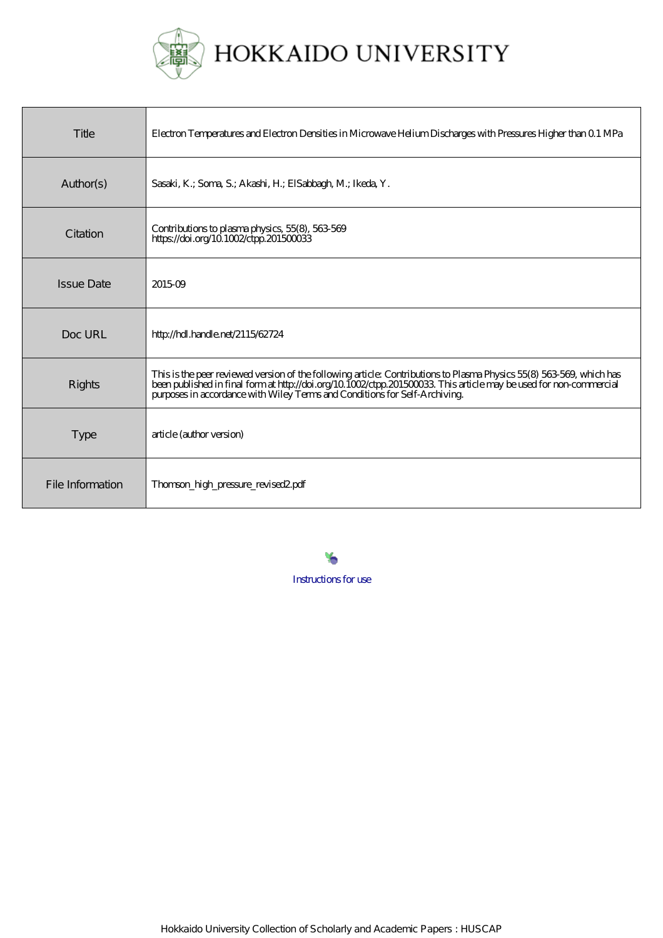

| Title             | Electron Temperatures and Electron Densities in Microwave Helium Discharges with Pressures Higher than Q 1 MPa                                                                                                                                                                                                      |
|-------------------|---------------------------------------------------------------------------------------------------------------------------------------------------------------------------------------------------------------------------------------------------------------------------------------------------------------------|
| Author(s)         | Sasaki, K.; Soma, S.; Akashi, H.; ElSabbagh, M.; Ikeda, Y.                                                                                                                                                                                                                                                          |
| Citation          | Contributions to plasma physics, 55(8), 563-569<br>https://doi.org/10.1002/ctpp.201500033                                                                                                                                                                                                                           |
| <b>Issue Date</b> | 201509                                                                                                                                                                                                                                                                                                              |
| Doc URL           | http://hdl.handle.net/2115/62724                                                                                                                                                                                                                                                                                    |
| <b>Rights</b>     | This is the peer reviewed version of the following article Contributions to Plasma Physics 55(8) 563-569, which has<br>been published in final format http://doi.org/10.1002/ctpp.201500033. This article may be used for non-commercial purposes in accordance with Wiley Terms and Conditions for Self-Archiving. |
| <b>Type</b>       | article (author version)                                                                                                                                                                                                                                                                                            |
| File Information  | Thomson_high_pressure_revised2.pdf                                                                                                                                                                                                                                                                                  |

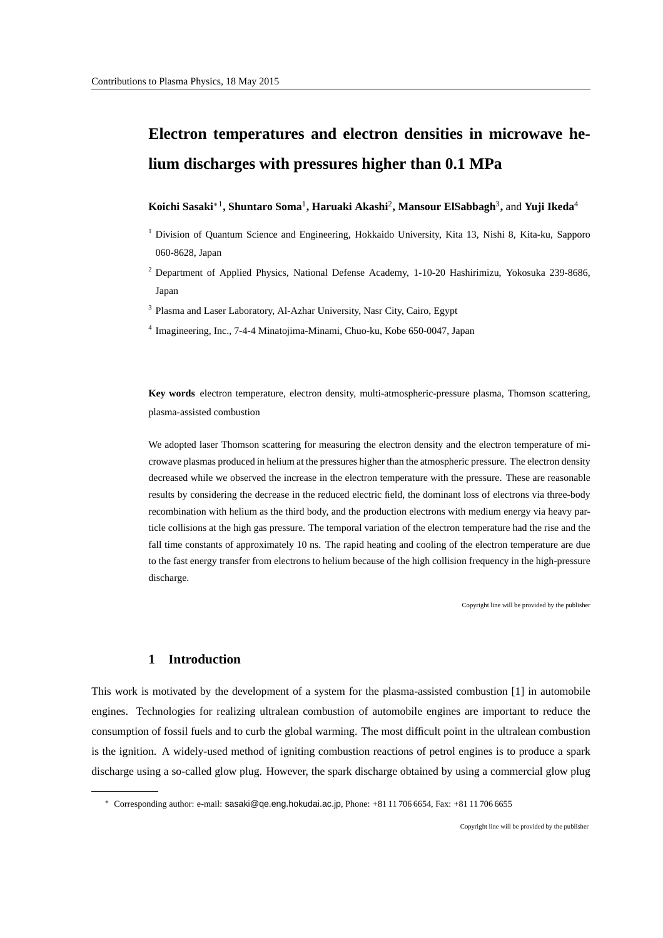# **Electron temperatures and electron densities in microwave helium discharges with pressures higher than 0.1 MPa**

### **Koichi Sasaki***∗*<sup>1</sup> **, Shuntaro Soma**<sup>1</sup> **, Haruaki Akashi**<sup>2</sup> **, Mansour ElSabbagh**<sup>3</sup> **,** and **Yuji Ikeda**<sup>4</sup>

- <sup>1</sup> Division of Quantum Science and Engineering, Hokkaido University, Kita 13, Nishi 8, Kita-ku, Sapporo 060-8628, Japan
- <sup>2</sup> Department of Applied Physics, National Defense Academy, 1-10-20 Hashirimizu, Yokosuka 239-8686, Japan
- <sup>3</sup> Plasma and Laser Laboratory, Al-Azhar University, Nasr City, Cairo, Egypt
- 4 Imagineering, Inc., 7-4-4 Minatojima-Minami, Chuo-ku, Kobe 650-0047, Japan

**Key words** electron temperature, electron density, multi-atmospheric-pressure plasma, Thomson scattering, plasma-assisted combustion

We adopted laser Thomson scattering for measuring the electron density and the electron temperature of microwave plasmas produced in helium at the pressures higher than the atmospheric pressure. The electron density decreased while we observed the increase in the electron temperature with the pressure. These are reasonable results by considering the decrease in the reduced electric field, the dominant loss of electrons via three-body recombination with helium as the third body, and the production electrons with medium energy via heavy particle collisions at the high gas pressure. The temporal variation of the electron temperature had the rise and the fall time constants of approximately 10 ns. The rapid heating and cooling of the electron temperature are due to the fast energy transfer from electrons to helium because of the high collision frequency in the high-pressure discharge.

Copyright line will be provided by the publisher

#### **1 Introduction**

This work is motivated by the development of a system for the plasma-assisted combustion [1] in automobile engines. Technologies for realizing ultralean combustion of automobile engines are important to reduce the consumption of fossil fuels and to curb the global warming. The most difficult point in the ultralean combustion is the ignition. A widely-used method of igniting combustion reactions of petrol engines is to produce a spark discharge using a so-called glow plug. However, the spark discharge obtained by using a commercial glow plug

*<sup>∗</sup>* Corresponding author: e-mail: sasaki@qe.eng.hokudai.ac.jp, Phone: +81 11 706 6654, Fax: +81 11 706 6655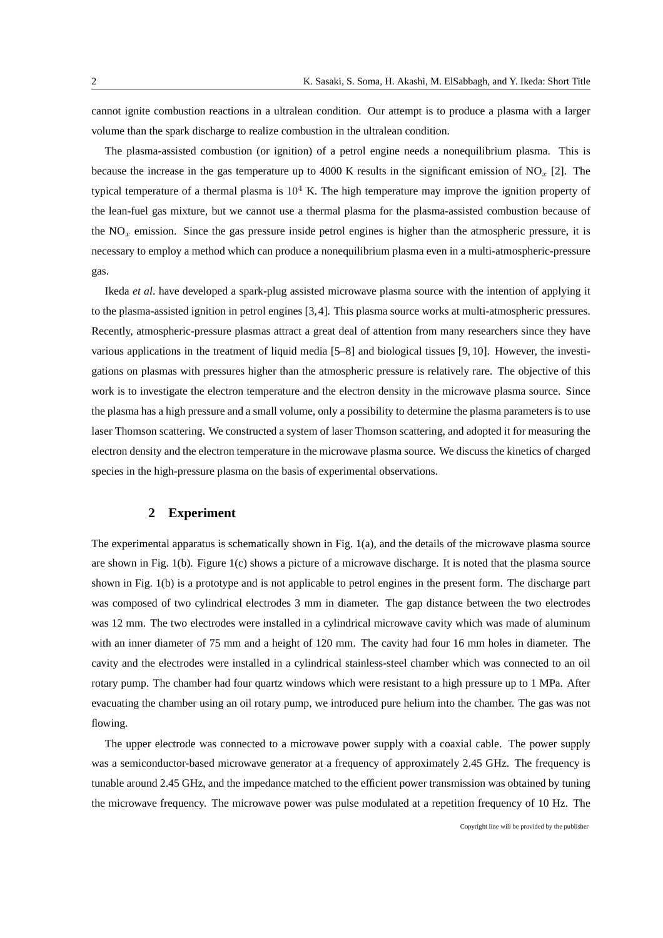cannot ignite combustion reactions in a ultralean condition. Our attempt is to produce a plasma with a larger volume than the spark discharge to realize combustion in the ultralean condition.

The plasma-assisted combustion (or ignition) of a petrol engine needs a nonequilibrium plasma. This is because the increase in the gas temperature up to 4000 K results in the significant emission of NO*<sup>x</sup>* [2]. The typical temperature of a thermal plasma is  $10^4$  K. The high temperature may improve the ignition property of the lean-fuel gas mixture, but we cannot use a thermal plasma for the plasma-assisted combustion because of the  $NO<sub>x</sub>$  emission. Since the gas pressure inside petrol engines is higher than the atmospheric pressure, it is necessary to employ a method which can produce a nonequilibrium plasma even in a multi-atmospheric-pressure gas.

Ikeda *et al*. have developed a spark-plug assisted microwave plasma source with the intention of applying it to the plasma-assisted ignition in petrol engines [3,4]. This plasma source works at multi-atmospheric pressures. Recently, atmospheric-pressure plasmas attract a great deal of attention from many researchers since they have various applications in the treatment of liquid media [5–8] and biological tissues [9, 10]. However, the investigations on plasmas with pressures higher than the atmospheric pressure is relatively rare. The objective of this work is to investigate the electron temperature and the electron density in the microwave plasma source. Since the plasma has a high pressure and a small volume, only a possibility to determine the plasma parameters is to use laser Thomson scattering. We constructed a system of laser Thomson scattering, and adopted it for measuring the electron density and the electron temperature in the microwave plasma source. We discuss the kinetics of charged species in the high-pressure plasma on the basis of experimental observations.

### **2 Experiment**

The experimental apparatus is schematically shown in Fig. 1(a), and the details of the microwave plasma source are shown in Fig. 1(b). Figure 1(c) shows a picture of a microwave discharge. It is noted that the plasma source shown in Fig. 1(b) is a prototype and is not applicable to petrol engines in the present form. The discharge part was composed of two cylindrical electrodes 3 mm in diameter. The gap distance between the two electrodes was 12 mm. The two electrodes were installed in a cylindrical microwave cavity which was made of aluminum with an inner diameter of 75 mm and a height of 120 mm. The cavity had four 16 mm holes in diameter. The cavity and the electrodes were installed in a cylindrical stainless-steel chamber which was connected to an oil rotary pump. The chamber had four quartz windows which were resistant to a high pressure up to 1 MPa. After evacuating the chamber using an oil rotary pump, we introduced pure helium into the chamber. The gas was not flowing.

The upper electrode was connected to a microwave power supply with a coaxial cable. The power supply was a semiconductor-based microwave generator at a frequency of approximately 2.45 GHz. The frequency is tunable around 2.45 GHz, and the impedance matched to the efficient power transmission was obtained by tuning the microwave frequency. The microwave power was pulse modulated at a repetition frequency of 10 Hz. The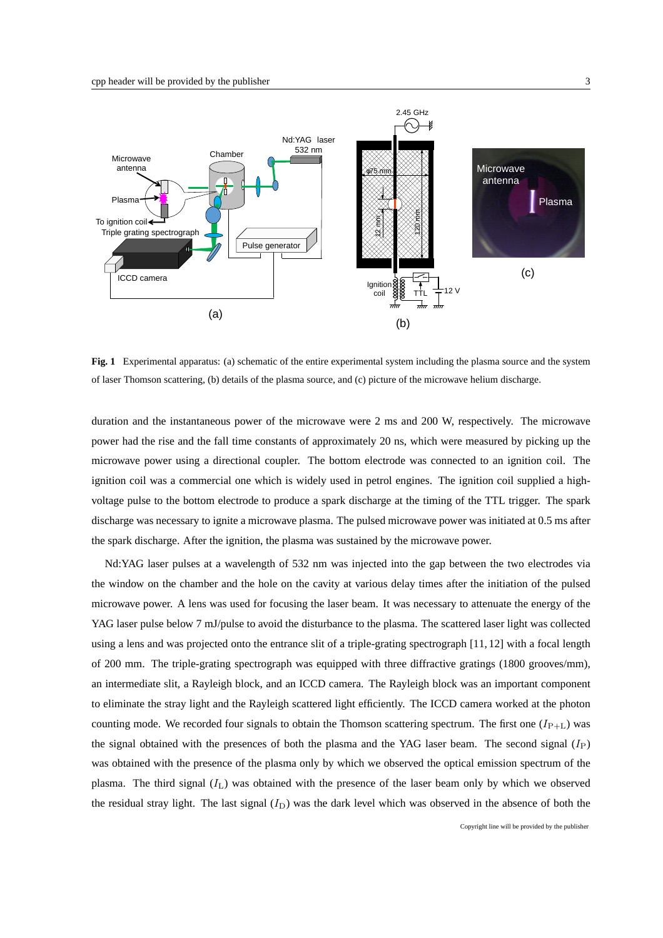

**Fig. 1** Experimental apparatus: (a) schematic of the entire experimental system including the plasma source and the system of laser Thomson scattering, (b) details of the plasma source, and (c) picture of the microwave helium discharge.

duration and the instantaneous power of the microwave were 2 ms and 200 W, respectively. The microwave power had the rise and the fall time constants of approximately 20 ns, which were measured by picking up the microwave power using a directional coupler. The bottom electrode was connected to an ignition coil. The ignition coil was a commercial one which is widely used in petrol engines. The ignition coil supplied a highvoltage pulse to the bottom electrode to produce a spark discharge at the timing of the TTL trigger. The spark discharge was necessary to ignite a microwave plasma. The pulsed microwave power was initiated at 0.5 ms after the spark discharge. After the ignition, the plasma was sustained by the microwave power.

Nd:YAG laser pulses at a wavelength of 532 nm was injected into the gap between the two electrodes via the window on the chamber and the hole on the cavity at various delay times after the initiation of the pulsed microwave power. A lens was used for focusing the laser beam. It was necessary to attenuate the energy of the YAG laser pulse below 7 mJ/pulse to avoid the disturbance to the plasma. The scattered laser light was collected using a lens and was projected onto the entrance slit of a triple-grating spectrograph [11, 12] with a focal length of 200 mm. The triple-grating spectrograph was equipped with three diffractive gratings (1800 grooves/mm), an intermediate slit, a Rayleigh block, and an ICCD camera. The Rayleigh block was an important component to eliminate the stray light and the Rayleigh scattered light efficiently. The ICCD camera worked at the photon counting mode. We recorded four signals to obtain the Thomson scattering spectrum. The first one  $(I_{P+L})$  was the signal obtained with the presences of both the plasma and the YAG laser beam. The second signal (*I*P) was obtained with the presence of the plasma only by which we observed the optical emission spectrum of the plasma. The third signal (*I*L) was obtained with the presence of the laser beam only by which we observed the residual stray light. The last signal  $(I_D)$  was the dark level which was observed in the absence of both the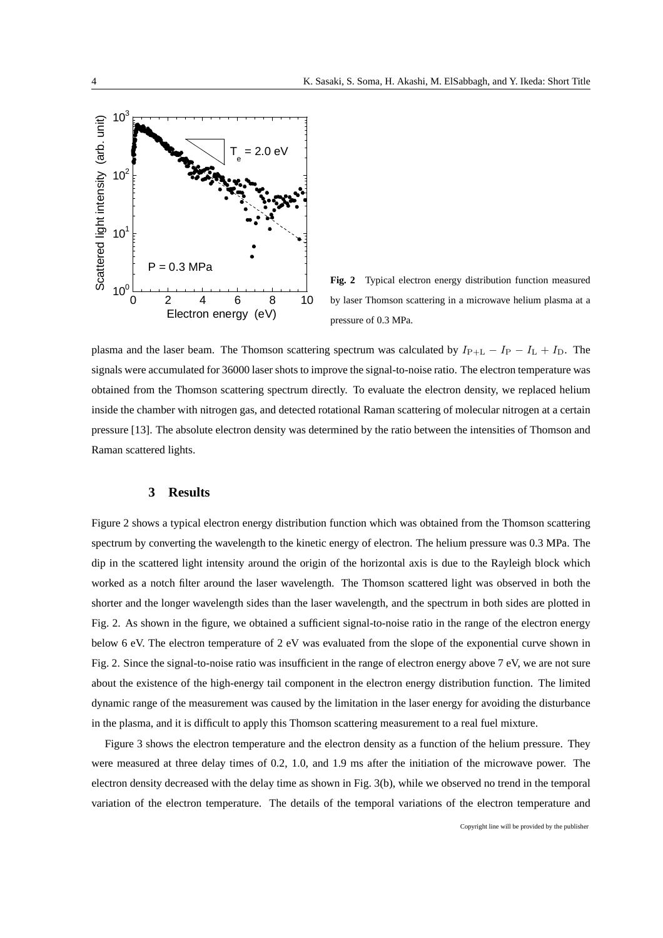

**Fig. 2** Typical electron energy distribution function measured by laser Thomson scattering in a microwave helium plasma at a pressure of 0.3 MPa.

plasma and the laser beam. The Thomson scattering spectrum was calculated by *I*P+L *− I*<sup>P</sup> *− I*<sup>L</sup> + *I*D. The signals were accumulated for 36000 laser shots to improve the signal-to-noise ratio. The electron temperature was obtained from the Thomson scattering spectrum directly. To evaluate the electron density, we replaced helium inside the chamber with nitrogen gas, and detected rotational Raman scattering of molecular nitrogen at a certain pressure [13]. The absolute electron density was determined by the ratio between the intensities of Thomson and Raman scattered lights.

## **3 Results**

Figure 2 shows a typical electron energy distribution function which was obtained from the Thomson scattering spectrum by converting the wavelength to the kinetic energy of electron. The helium pressure was 0.3 MPa. The dip in the scattered light intensity around the origin of the horizontal axis is due to the Rayleigh block which worked as a notch filter around the laser wavelength. The Thomson scattered light was observed in both the shorter and the longer wavelength sides than the laser wavelength, and the spectrum in both sides are plotted in Fig. 2. As shown in the figure, we obtained a sufficient signal-to-noise ratio in the range of the electron energy below 6 eV. The electron temperature of 2 eV was evaluated from the slope of the exponential curve shown in Fig. 2. Since the signal-to-noise ratio was insufficient in the range of electron energy above 7 eV, we are not sure about the existence of the high-energy tail component in the electron energy distribution function. The limited dynamic range of the measurement was caused by the limitation in the laser energy for avoiding the disturbance in the plasma, and it is difficult to apply this Thomson scattering measurement to a real fuel mixture.

Figure 3 shows the electron temperature and the electron density as a function of the helium pressure. They were measured at three delay times of 0.2, 1.0, and 1.9 ms after the initiation of the microwave power. The electron density decreased with the delay time as shown in Fig. 3(b), while we observed no trend in the temporal variation of the electron temperature. The details of the temporal variations of the electron temperature and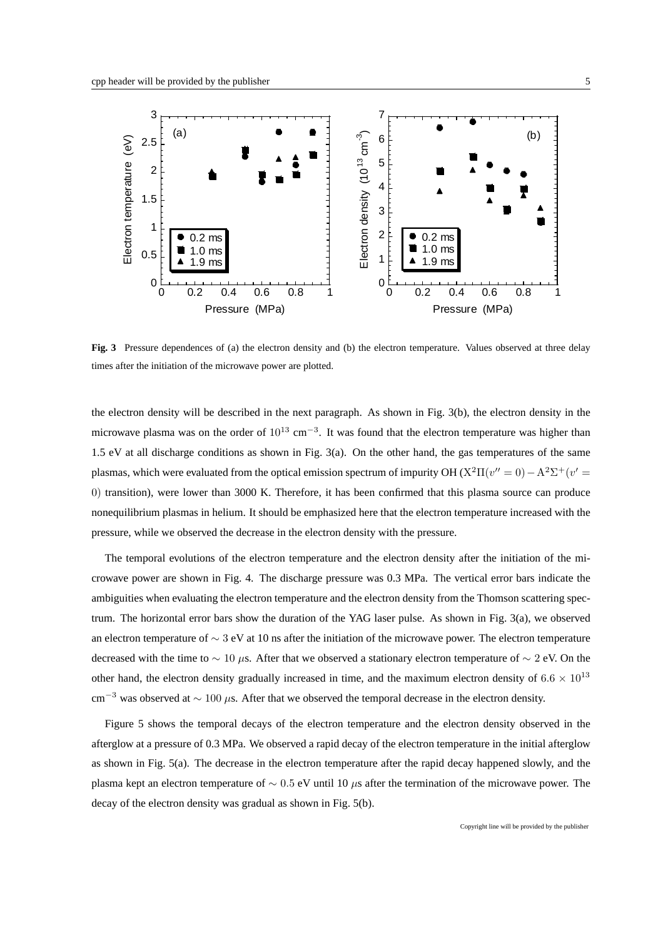

**Fig. 3** Pressure dependences of (a) the electron density and (b) the electron temperature. Values observed at three delay times after the initiation of the microwave power are plotted.

the electron density will be described in the next paragraph. As shown in Fig. 3(b), the electron density in the microwave plasma was on the order of 10<sup>13</sup> cm<sup>−3</sup>. It was found that the electron temperature was higher than 1.5 eV at all discharge conditions as shown in Fig. 3(a). On the other hand, the gas temperatures of the same plasmas, which were evaluated from the optical emission spectrum of impurity OH ( $X^2\Pi(v''=0) - A^2\Sigma^+(v'=0)$ 0) transition), were lower than 3000 K. Therefore, it has been confirmed that this plasma source can produce nonequilibrium plasmas in helium. It should be emphasized here that the electron temperature increased with the pressure, while we observed the decrease in the electron density with the pressure.

The temporal evolutions of the electron temperature and the electron density after the initiation of the microwave power are shown in Fig. 4. The discharge pressure was 0.3 MPa. The vertical error bars indicate the ambiguities when evaluating the electron temperature and the electron density from the Thomson scattering spectrum. The horizontal error bars show the duration of the YAG laser pulse. As shown in Fig. 3(a), we observed an electron temperature of *∼* 3 eV at 10 ns after the initiation of the microwave power. The electron temperature decreased with the time to *∼* 10 *µ*s. After that we observed a stationary electron temperature of *∼* 2 eV. On the other hand, the electron density gradually increased in time, and the maximum electron density of  $6.6 \times 10^{13}$ cm*−*<sup>3</sup> was observed at *<sup>∼</sup>* <sup>100</sup> *<sup>µ</sup>*s. After that we observed the temporal decrease in the electron density.

Figure 5 shows the temporal decays of the electron temperature and the electron density observed in the afterglow at a pressure of 0.3 MPa. We observed a rapid decay of the electron temperature in the initial afterglow as shown in Fig. 5(a). The decrease in the electron temperature after the rapid decay happened slowly, and the plasma kept an electron temperature of *∼* 0*.*5 eV until 10 *µ*s after the termination of the microwave power. The decay of the electron density was gradual as shown in Fig. 5(b).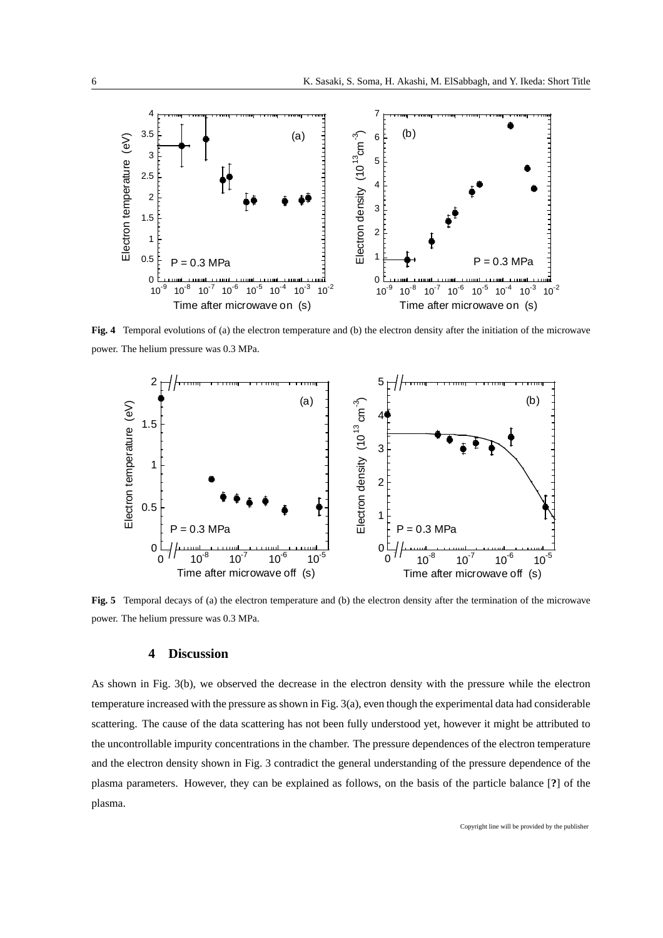

**Fig. 4** Temporal evolutions of (a) the electron temperature and (b) the electron density after the initiation of the microwave power. The helium pressure was 0.3 MPa.



**Fig. 5** Temporal decays of (a) the electron temperature and (b) the electron density after the termination of the microwave power. The helium pressure was 0.3 MPa.

# **4 Discussion**

As shown in Fig. 3(b), we observed the decrease in the electron density with the pressure while the electron temperature increased with the pressure as shown in Fig. 3(a), even though the experimental data had considerable scattering. The cause of the data scattering has not been fully understood yet, however it might be attributed to the uncontrollable impurity concentrations in the chamber. The pressure dependences of the electron temperature and the electron density shown in Fig. 3 contradict the general understanding of the pressure dependence of the plasma parameters. However, they can be explained as follows, on the basis of the particle balance [**?**] of the plasma.

Copyright line will be provided by the publisher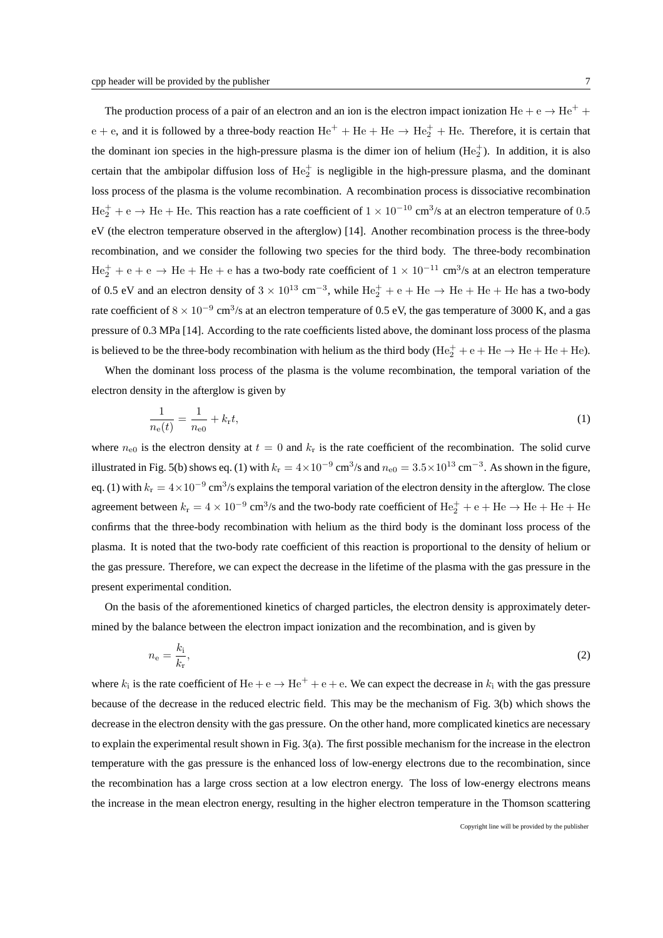The production process of a pair of an electron and an ion is the electron impact ionization He + e  $\rightarrow$  He<sup>+</sup> +  $e + e$ , and it is followed by a three-body reaction  $He^+ + He + He \rightarrow He_2^+ + He$ . Therefore, it is certain that the dominant ion species in the high-pressure plasma is the dimer ion of helium  $(He<sub>2</sub><sup>+</sup>)$ . In addition, it is also certain that the ambipolar diffusion loss of  $He_2^+$  is negligible in the high-pressure plasma, and the dominant loss process of the plasma is the volume recombination. A recombination process is dissociative recombination He<sup>+</sup> <sup>2</sup> + e *<sup>→</sup>* He + He. This reaction has a rate coefficient of <sup>1</sup> *<sup>×</sup>* <sup>10</sup>*−*<sup>10</sup> cm<sup>3</sup> /s at an electron temperature of 0*.*5 eV (the electron temperature observed in the afterglow) [14]. Another recombination process is the three-body recombination, and we consider the following two species for the third body. The three-body recombination

He<sup>+</sup> <sup>2</sup> + e + e *<sup>→</sup>* He + He + e has a two-body rate coefficient of <sup>1</sup> *<sup>×</sup>* <sup>10</sup>*−*<sup>11</sup> cm<sup>3</sup> /s at an electron temperature of 0.5 eV and an electron density of  $3 \times 10^{13} \text{ cm}^{-3}$ , while He<sub>2</sub><sup>+</sup> + e + He  $\rightarrow$  He + He + He has a two-body rate coefficient of 8 × 10<sup>-9</sup> cm<sup>3</sup>/s at an electron temperature of 0.5 eV, the gas temperature of 3000 K, and a gas pressure of 0.3 MPa [14]. According to the rate coefficients listed above, the dominant loss process of the plasma is believed to be the three-body recombination with helium as the third body  $(He<sub>2</sub><sup>+</sup> + e + He \rightarrow He + He)$ .

When the dominant loss process of the plasma is the volume recombination, the temporal variation of the electron density in the afterglow is given by

$$
\frac{1}{n_{\rm e}(t)} = \frac{1}{n_{\rm e0}} + k_{\rm r}t,\tag{1}
$$

where  $n_{\text{e}0}$  is the electron density at  $t = 0$  and  $k_r$  is the rate coefficient of the recombination. The solid curve illustrated in Fig. 5(b) shows eq. (1) with  $k_r = 4 \times 10^{-9}$  cm<sup>3</sup>/s and  $n_{e0} = 3.5 \times 10^{13}$  cm<sup>-3</sup>. As shown in the figure, eq. (1) with  $k_r = 4 \times 10^{-9}$  cm<sup>3</sup>/s explains the temporal variation of the electron density in the afterglow. The close agreement between  $k_r = 4 \times 10^{-9}$  cm<sup>3</sup>/s and the two-body rate coefficient of  $He_2^+ + e + He \rightarrow He + He + He$ confirms that the three-body recombination with helium as the third body is the dominant loss process of the plasma. It is noted that the two-body rate coefficient of this reaction is proportional to the density of helium or the gas pressure. Therefore, we can expect the decrease in the lifetime of the plasma with the gas pressure in the present experimental condition.

On the basis of the aforementioned kinetics of charged particles, the electron density is approximately determined by the balance between the electron impact ionization and the recombination, and is given by

$$
n_{\rm e} = \frac{k_{\rm i}}{k_{\rm r}},\tag{2}
$$

where  $k_i$  is the rate coefficient of  $He + e \rightarrow He^+ + e + e$ . We can expect the decrease in  $k_i$  with the gas pressure because of the decrease in the reduced electric field. This may be the mechanism of Fig. 3(b) which shows the decrease in the electron density with the gas pressure. On the other hand, more complicated kinetics are necessary to explain the experimental result shown in Fig. 3(a). The first possible mechanism for the increase in the electron temperature with the gas pressure is the enhanced loss of low-energy electrons due to the recombination, since the recombination has a large cross section at a low electron energy. The loss of low-energy electrons means the increase in the mean electron energy, resulting in the higher electron temperature in the Thomson scattering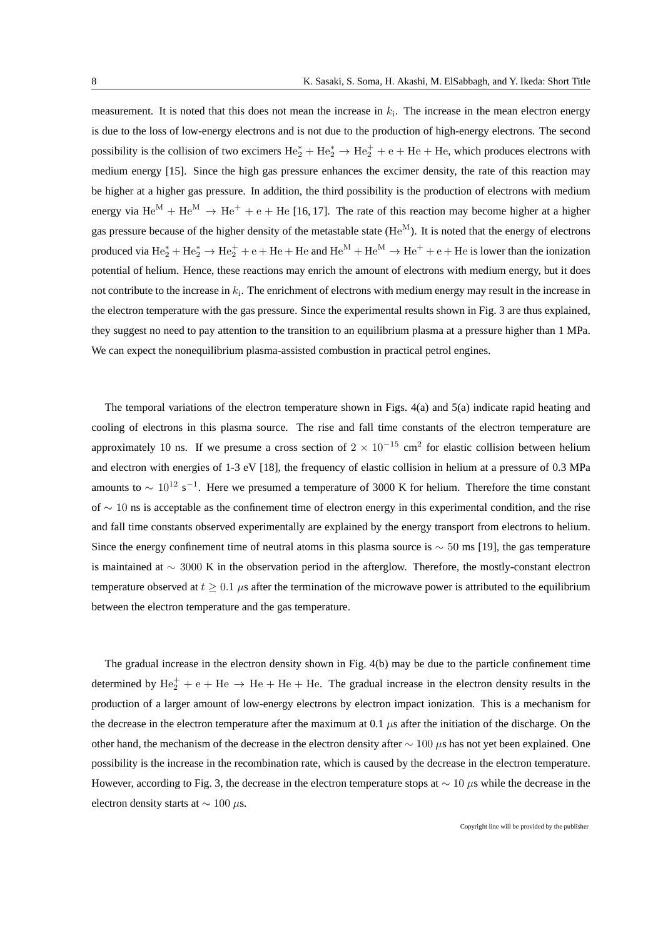measurement. It is noted that this does not mean the increase in *k*<sup>i</sup> . The increase in the mean electron energy is due to the loss of low-energy electrons and is not due to the production of high-energy electrons. The second possibility is the collision of two excimers  $He_2^* + He_2^* \rightarrow He_2^+ + e + He + He$ , which produces electrons with medium energy [15]. Since the high gas pressure enhances the excimer density, the rate of this reaction may be higher at a higher gas pressure. In addition, the third possibility is the production of electrons with medium energy via  $\text{He}^M + \text{He}^M \rightarrow \text{He}^+ + e + \text{He}$  [16, 17]. The rate of this reaction may become higher at a higher gas pressure because of the higher density of the metastable state  $(He^{M})$ . It is noted that the energy of electrons produced via  $\text{He}_2^* + \text{He}_2^* \rightarrow \text{He}_2^+ + e + \text{He} + \text{He}$  and  $\text{He}^{\text{M}} + \text{He}^{\text{M}} \rightarrow \text{He}^+ + e + \text{He}$  is lower than the ionization potential of helium. Hence, these reactions may enrich the amount of electrons with medium energy, but it does not contribute to the increase in *k*<sup>i</sup> . The enrichment of electrons with medium energy may result in the increase in the electron temperature with the gas pressure. Since the experimental results shown in Fig. 3 are thus explained, they suggest no need to pay attention to the transition to an equilibrium plasma at a pressure higher than 1 MPa. We can expect the nonequilibrium plasma-assisted combustion in practical petrol engines.

The temporal variations of the electron temperature shown in Figs. 4(a) and 5(a) indicate rapid heating and cooling of electrons in this plasma source. The rise and fall time constants of the electron temperature are approximately 10 ns. If we presume a cross section of  $2 \times 10^{-15}$  cm<sup>2</sup> for elastic collision between helium and electron with energies of 1-3 eV [18], the frequency of elastic collision in helium at a pressure of 0.3 MPa amounts to  $\sim 10^{12}$  s<sup>-1</sup>. Here we presumed a temperature of 3000 K for helium. Therefore the time constant of *∼* 10 ns is acceptable as the confinement time of electron energy in this experimental condition, and the rise and fall time constants observed experimentally are explained by the energy transport from electrons to helium. Since the energy confinement time of neutral atoms in this plasma source is *∼* 50 ms [19], the gas temperature is maintained at *∼* 3000 K in the observation period in the afterglow. Therefore, the mostly-constant electron temperature observed at  $t \geq 0.1$   $\mu$ s after the termination of the microwave power is attributed to the equilibrium between the electron temperature and the gas temperature.

The gradual increase in the electron density shown in Fig. 4(b) may be due to the particle confinement time determined by  $He_2^+ + e + He \rightarrow He + He + He$ . The gradual increase in the electron density results in the production of a larger amount of low-energy electrons by electron impact ionization. This is a mechanism for the decrease in the electron temperature after the maximum at 0.1  $\mu$ s after the initiation of the discharge. On the other hand, the mechanism of the decrease in the electron density after *∼* 100 *µ*s has not yet been explained. One possibility is the increase in the recombination rate, which is caused by the decrease in the electron temperature. However, according to Fig. 3, the decrease in the electron temperature stops at *∼* 10 *µ*s while the decrease in the electron density starts at *∼* 100 *µ*s.